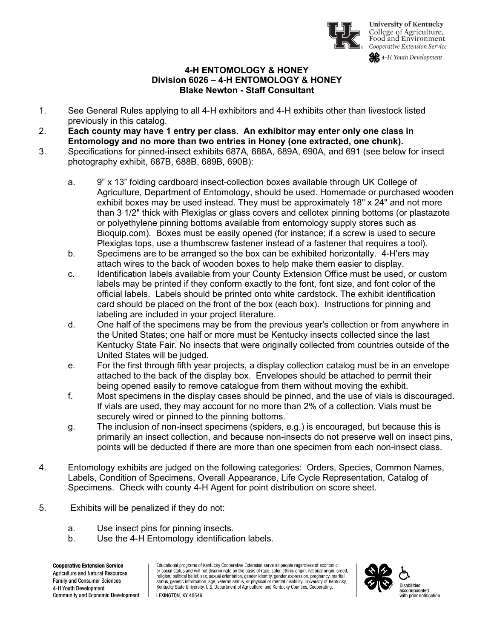

**University of Kentucky** College of Agriculture, Food and Environment Cooperative Extension Service

4-H Youth Development

## **4-H ENTOMOLOGY & HONEY Division 6026 – 4-H ENTOMOLOGY & HONEY Blake Newton - Staff Consultant**

- 1. See General Rules applying to all 4-H exhibitors and 4-H exhibits other than livestock listed previously in this catalog.
- 2. **Each county may have 1 entry per class. An exhibitor may enter only one class in Entomology and no more than two entries in Honey (one extracted, one chunk).**
- 3. Specifications for pinned-insect exhibits 687A, 688A, 689A, 690A, and 691 (see below for insect photography exhibit, 687B, 688B, 689B, 690B):
	- a. 9" x 13" folding cardboard insect-collection boxes available through UK College of Agriculture, Department of Entomology, should be used. Homemade or purchased wooden exhibit boxes may be used instead. They must be approximately 18" x 24" and not more than 3 1/2" thick with Plexiglas or glass covers and cellotex pinning bottoms (or plastazote or polyethylene pinning bottoms available from entomology supply stores such as Bioquip.com). Boxes must be easily opened (for instance; if a screw is used to secure Plexiglas tops, use a thumbscrew fastener instead of a fastener that requires a tool).
	- b. Specimens are to be arranged so the box can be exhibited horizontally. 4-H'ers may attach wires to the back of wooden boxes to help make them easier to display.
	- c. Identification labels available from your County Extension Office must be used, or custom labels may be printed if they conform exactly to the font, font size, and font color of the official labels. Labels should be printed onto white cardstock. The exhibit identification card should be placed on the front of the box (each box). Instructions for pinning and labeling are included in your project literature.
	- d. One half of the specimens may be from the previous year's collection or from anywhere in the United States; one half or more must be Kentucky insects collected since the last Kentucky State Fair. No insects that were originally collected from countries outside of the United States will be judged.
	- e. For the first through fifth year projects, a display collection catalog must be in an envelope attached to the back of the display box. Envelopes should be attached to permit their being opened easily to remove catalogue from them without moving the exhibit.
	- f. Most specimens in the display cases should be pinned, and the use of vials is discouraged. If vials are used, they may account for no more than 2% of a collection. Vials must be securely wired or pinned to the pinning bottoms.
	- g. The inclusion of non-insect specimens (spiders, e.g.) is encouraged, but because this is primarily an insect collection, and because non-insects do not preserve well on insect pins, points will be deducted if there are more than one specimen from each non-insect class.
- 4. Entomology exhibits are judged on the following categories: Orders, Species, Common Names, Labels, Condition of Specimens, Overall Appearance, Life Cycle Representation, Catalog of Specimens. Check with county 4-H Agent for point distribution on score sheet.
- 5. Exhibits will be penalized if they do not:
	- a. Use insect pins for pinning insects.
	- b. Use the 4-H Entomology identification labels.

**Cooperative Extension Service Agriculture and Natural Resources** Family and Consumer Sciences 4-H Youth Development Community and Economic Development Educational programs of Kentucky Cooperative Extension serve all people regardless of economic<br>or social status and will not discriminate on the basis of race, color, ethnic origin, national origin, creed, religion, political belief, sex, sexual orientation, gender identity, gender expression, pregnancy, marital status, genetic information, age, veteran status, or physical or mental disability. University of Kentucky, Kentucky State University, U.S. Department of Agriculture, and Kentucky Counties, Cooperating. LEXINGTON, KY 40546

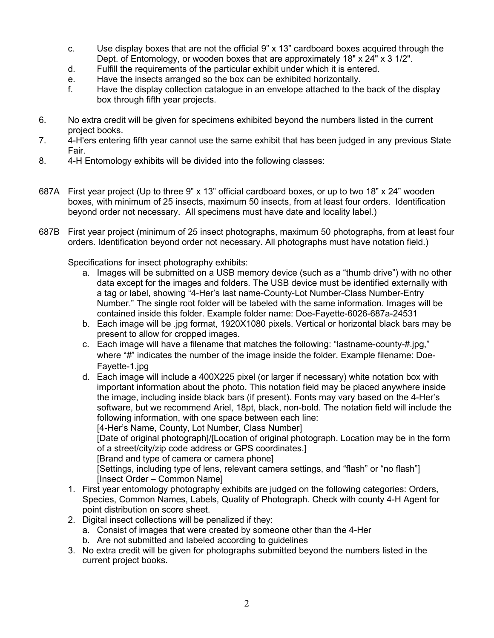- c. Use display boxes that are not the official 9" x 13" cardboard boxes acquired through the Dept. of Entomology, or wooden boxes that are approximately 18" x 24" x 3 1/2".
- d. Fulfill the requirements of the particular exhibit under which it is entered.
- e. Have the insects arranged so the box can be exhibited horizontally.
- f. Have the display collection catalogue in an envelope attached to the back of the display box through fifth year projects.
- 6. No extra credit will be given for specimens exhibited beyond the numbers listed in the current project books.
- 7. 4-H'ers entering fifth year cannot use the same exhibit that has been judged in any previous State Fair.
- 8. 4-H Entomology exhibits will be divided into the following classes:
- 687A First year project (Up to three 9" x 13" official cardboard boxes, or up to two 18" x 24" wooden boxes, with minimum of 25 insects, maximum 50 insects, from at least four orders. Identification beyond order not necessary. All specimens must have date and locality label.)
- 687B First year project (minimum of 25 insect photographs, maximum 50 photographs, from at least four orders. Identification beyond order not necessary. All photographs must have notation field.)

Specifications for insect photography exhibits:

- a. Images will be submitted on a USB memory device (such as a "thumb drive") with no other data except for the images and folders. The USB device must be identified externally with a tag or label, showing "4-Her's last name-County-Lot Number-Class Number-Entry Number." The single root folder will be labeled with the same information. Images will be contained inside this folder. Example folder name: Doe-Fayette-6026-687a-24531
- b. Each image will be .jpg format, 1920X1080 pixels. Vertical or horizontal black bars may be present to allow for cropped images.
- c. Each image will have a filename that matches the following: "lastname-county-#.jpg," where "#" indicates the number of the image inside the folder. Example filename: Doe-Fayette-1.jpg
- d. Each image will include a 400X225 pixel (or larger if necessary) white notation box with important information about the photo. This notation field may be placed anywhere inside the image, including inside black bars (if present). Fonts may vary based on the 4-Her's software, but we recommend Ariel, 18pt, black, non-bold. The notation field will include the following information, with one space between each line: [4-Her's Name, County, Lot Number, Class Number] [Date of original photograph]/[Location of original photograph. Location may be in the form of a street/city/zip code address or GPS coordinates.] [Brand and type of camera or camera phone] [Settings, including type of lens, relevant camera settings, and "flash" or "no flash"] [Insect Order – Common Name]
- 1. First year entomology photography exhibits are judged on the following categories: Orders, Species, Common Names, Labels, Quality of Photograph. Check with county 4-H Agent for point distribution on score sheet.
- 2. Digital insect collections will be penalized if they:
	- a. Consist of images that were created by someone other than the 4-Her
	- b. Are not submitted and labeled according to guidelines
- 3. No extra credit will be given for photographs submitted beyond the numbers listed in the current project books.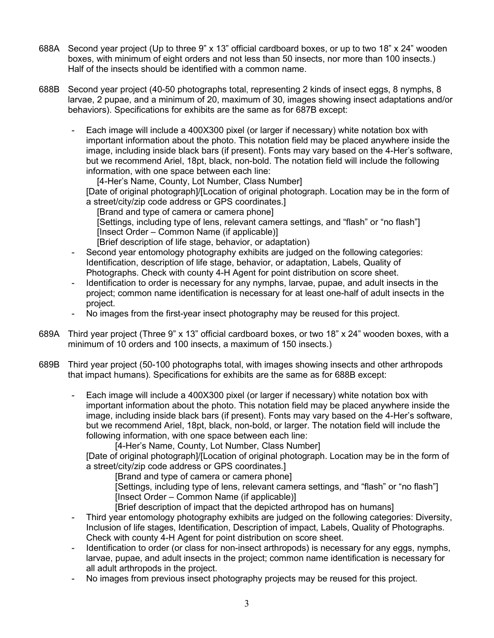- 688A Second year project (Up to three 9" x 13" official cardboard boxes, or up to two 18" x 24" wooden boxes, with minimum of eight orders and not less than 50 insects, nor more than 100 insects.) Half of the insects should be identified with a common name.
- 688B Second year project (40-50 photographs total, representing 2 kinds of insect eggs, 8 nymphs, 8 larvae, 2 pupae, and a minimum of 20, maximum of 30, images showing insect adaptations and/or behaviors). Specifications for exhibits are the same as for 687B except:
	- Each image will include a 400X300 pixel (or larger if necessary) white notation box with important information about the photo. This notation field may be placed anywhere inside the image, including inside black bars (if present). Fonts may vary based on the 4-Her's software, but we recommend Ariel, 18pt, black, non-bold. The notation field will include the following information, with one space between each line:

[4-Her's Name, County, Lot Number, Class Number] [Date of original photograph]/[Location of original photograph. Location may be in the form of a street/city/zip code address or GPS coordinates.]

[Brand and type of camera or camera phone] [Settings, including type of lens, relevant camera settings, and "flash" or "no flash"] [Insect Order – Common Name (if applicable)] [Brief description of life stage, behavior, or adaptation)

- Second year entomology photography exhibits are judged on the following categories: Identification, description of life stage, behavior, or adaptation, Labels, Quality of Photographs. Check with county 4-H Agent for point distribution on score sheet.
- Identification to order is necessary for any nymphs, larvae, pupae, and adult insects in the project; common name identification is necessary for at least one-half of adult insects in the project.
- No images from the first-year insect photography may be reused for this project.
- 689A Third year project (Three 9" x 13" official cardboard boxes, or two 18" x 24" wooden boxes, with a minimum of 10 orders and 100 insects, a maximum of 150 insects.)
- 689B Third year project (50-100 photographs total, with images showing insects and other arthropods that impact humans). Specifications for exhibits are the same as for 688B except:
	- Each image will include a 400X300 pixel (or larger if necessary) white notation box with important information about the photo. This notation field may be placed anywhere inside the image, including inside black bars (if present). Fonts may vary based on the 4-Her's software, but we recommend Ariel, 18pt, black, non-bold, or larger. The notation field will include the following information, with one space between each line:

[4-Her's Name, County, Lot Number, Class Number]

[Date of original photograph]/[Location of original photograph. Location may be in the form of a street/city/zip code address or GPS coordinates.]

[Brand and type of camera or camera phone]

[Settings, including type of lens, relevant camera settings, and "flash" or "no flash"] [Insect Order – Common Name (if applicable)]

[Brief description of impact that the depicted arthropod has on humans]

- Third year entomology photography exhibits are judged on the following categories: Diversity, Inclusion of life stages, Identification, Description of impact, Labels, Quality of Photographs. Check with county 4-H Agent for point distribution on score sheet.
- Identification to order (or class for non-insect arthropods) is necessary for any eggs, nymphs, larvae, pupae, and adult insects in the project; common name identification is necessary for all adult arthropods in the project.
- No images from previous insect photography projects may be reused for this project.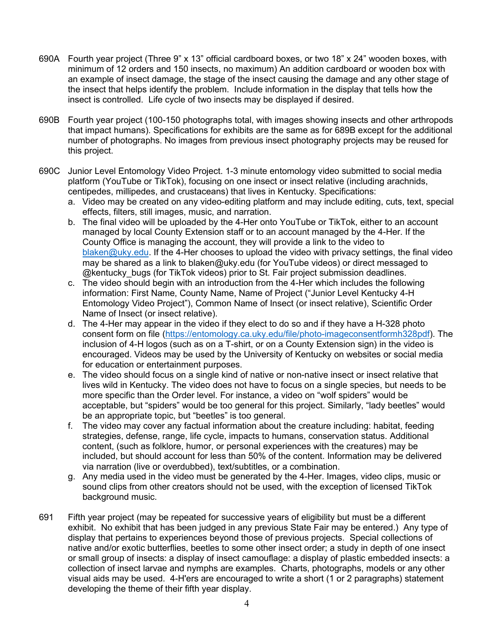- 690A Fourth year project (Three 9" x 13" official cardboard boxes, or two 18" x 24" wooden boxes, with minimum of 12 orders and 150 insects, no maximum) An addition cardboard or wooden box with an example of insect damage, the stage of the insect causing the damage and any other stage of the insect that helps identify the problem. Include information in the display that tells how the insect is controlled. Life cycle of two insects may be displayed if desired.
- 690B Fourth year project (100-150 photographs total, with images showing insects and other arthropods that impact humans). Specifications for exhibits are the same as for 689B except for the additional number of photographs. No images from previous insect photography projects may be reused for this project.
- 690C Junior Level Entomology Video Project. 1-3 minute entomology video submitted to social media platform (YouTube or TikTok), focusing on one insect or insect relative (including arachnids, centipedes, millipedes, and crustaceans) that lives in Kentucky. Specifications:
	- a. Video may be created on any video-editing platform and may include editing, cuts, text, special effects, filters, still images, music, and narration.
	- b. The final video will be uploaded by the 4-Her onto YouTube or TikTok, either to an account managed by local County Extension staff or to an account managed by the 4-Her. If the County Office is managing the account, they will provide a link to the video to [blaken@uky.edu.](mailto:blaken@uky.edu) If the 4-Her chooses to upload the video with privacy settings, the final video may be shared as a link to blaken@uky.edu (for YouTube videos) or direct messaged to @kentucky\_bugs (for TikTok videos) prior to St. Fair project submission deadlines.
	- c. The video should begin with an introduction from the 4-Her which includes the following information: First Name, County Name, Name of Project ("Junior Level Kentucky 4-H Entomology Video Project"), Common Name of Insect (or insect relative), Scientific Order Name of Insect (or insect relative).
	- d. The 4-Her may appear in the video if they elect to do so and if they have a H-328 photo consent form on file [\(https://entomology.ca.uky.edu/file/photo-imageconsentformh328pdf\)](https://entomology.ca.uky.edu/file/photo-imageconsentformh328pdf). The inclusion of 4-H logos (such as on a T-shirt, or on a County Extension sign) in the video is encouraged. Videos may be used by the University of Kentucky on websites or social media for education or entertainment purposes.
	- e. The video should focus on a single kind of native or non-native insect or insect relative that lives wild in Kentucky. The video does not have to focus on a single species, but needs to be more specific than the Order level. For instance, a video on "wolf spiders" would be acceptable, but "spiders" would be too general for this project. Similarly, "lady beetles" would be an appropriate topic, but "beetles" is too general.
	- f. The video may cover any factual information about the creature including: habitat, feeding strategies, defense, range, life cycle, impacts to humans, conservation status. Additional content, (such as folklore, humor, or personal experiences with the creatures) may be included, but should account for less than 50% of the content. Information may be delivered via narration (live or overdubbed), text/subtitles, or a combination.
	- g. Any media used in the video must be generated by the 4-Her. Images, video clips, music or sound clips from other creators should not be used, with the exception of licensed TikTok background music.
- 691 Fifth year project (may be repeated for successive years of eligibility but must be a different exhibit. No exhibit that has been judged in any previous State Fair may be entered.) Any type of display that pertains to experiences beyond those of previous projects. Special collections of native and/or exotic butterflies, beetles to some other insect order; a study in depth of one insect or small group of insects: a display of insect camouflage: a display of plastic embedded insects: a collection of insect larvae and nymphs are examples. Charts, photographs, models or any other visual aids may be used. 4-H'ers are encouraged to write a short (1 or 2 paragraphs) statement developing the theme of their fifth year display.